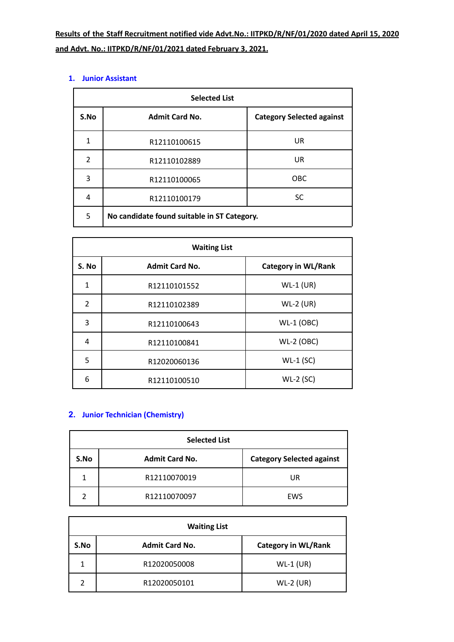| <b>Selected List</b> |                                             |                                  |
|----------------------|---------------------------------------------|----------------------------------|
| S.No                 | <b>Admit Card No.</b>                       | <b>Category Selected against</b> |
| 1                    | R12110100615                                | <b>UR</b>                        |
| 2                    | R12110102889                                | UR                               |
| 3                    | R12110100065                                | <b>OBC</b>                       |
| 4                    | R12110100179                                | <b>SC</b>                        |
| 5                    | No candidate found suitable in ST Category. |                                  |

#### **1. Junior Assistant**

| <b>Waiting List</b> |                       |                            |
|---------------------|-----------------------|----------------------------|
| S. No               | <b>Admit Card No.</b> | <b>Category in WL/Rank</b> |
| 1                   | R12110101552          | $WL-1$ (UR)                |
| 2                   | R12110102389          | $WL-2$ (UR)                |
| 3                   | R12110100643          | $WL-1$ (OBC)               |
| 4                   | R12110100841          | $WL-2$ (OBC)               |
| 5                   | R12020060136          | $WL-1$ (SC)                |
| 6                   | R12110100510          | $WL-2$ (SC)                |

# **2. Junior Technician (Chemistry)**

| <b>Selected List</b> |                       |                                  |
|----------------------|-----------------------|----------------------------------|
| S.No                 | <b>Admit Card No.</b> | <b>Category Selected against</b> |
|                      | R12110070019          | UR                               |
| 2                    | R12110070097          | EWS                              |

| <b>Waiting List</b> |                       |                            |
|---------------------|-----------------------|----------------------------|
| S.No                | <b>Admit Card No.</b> | <b>Category in WL/Rank</b> |
| 1                   | R12020050008          | $WL-1$ (UR)                |
| າ                   | R12020050101          | $WL-2$ (UR)                |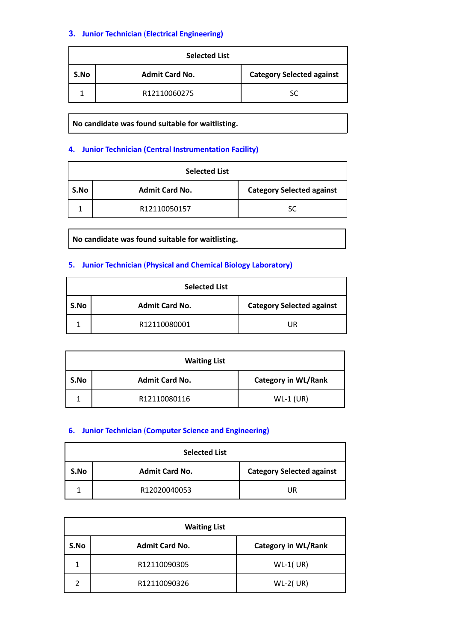## **3. Junior Technician** (**Electrical Engineering)**

| <b>Selected List</b> |                       |                                  |
|----------------------|-----------------------|----------------------------------|
| S.No                 | <b>Admit Card No.</b> | <b>Category Selected against</b> |
|                      | R12110060275          | SC                               |

**No candidate was found suitable for waitlisting.**

#### **4. Junior Technician (Central Instrumentation Facility)**

| <b>Selected List</b> |                       |                                  |
|----------------------|-----------------------|----------------------------------|
| S.No                 | <b>Admit Card No.</b> | <b>Category Selected against</b> |
|                      | R12110050157          | SC                               |

**No candidate was found suitable for waitlisting.**

#### **5. Junior Technician** (**Physical and Chemical Biology Laboratory)**

| <b>Selected List</b> |                       |                                  |
|----------------------|-----------------------|----------------------------------|
| S.No                 | <b>Admit Card No.</b> | <b>Category Selected against</b> |
|                      | R12110080001          | UR                               |

| <b>Waiting List</b> |                       |                            |
|---------------------|-----------------------|----------------------------|
| S.No                | <b>Admit Card No.</b> | <b>Category in WL/Rank</b> |
|                     | R12110080116          | $WL-1$ (UR)                |

#### **6. Junior Technician** (**Computer Science and Engineering)**

| <b>Selected List</b> |                       |                                  |
|----------------------|-----------------------|----------------------------------|
| S.No                 | <b>Admit Card No.</b> | <b>Category Selected against</b> |
|                      | R12020040053          | UR                               |

| <b>Waiting List</b> |                       |                            |
|---------------------|-----------------------|----------------------------|
| S.No                | <b>Admit Card No.</b> | <b>Category in WL/Rank</b> |
| 1                   | R12110090305          | $WL-1$ (UR)                |
| າ                   | R12110090326          | $WL-2(UR)$                 |